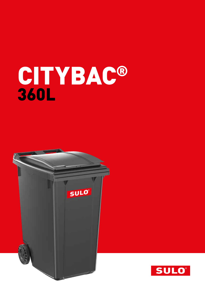# CITYBAC® 360L



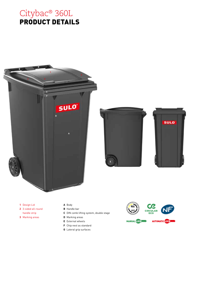







- **1** Design Lid
- **2** 3-sided all-round handle strip
- **3** Marking areas
- **A** Body
- **B** Handle bar
- **C** DIN comb lifting system, double stage
- **D** Marking areas
- **E** External wheels
- **F** Chip nest as standard
- **G** Lateral grip surfaces

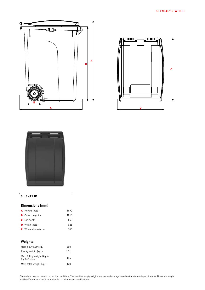





#### **SILENT LID**

## **Dimensions (mm)**

| <b>A</b> Height total $\sim$ | 1090 |  |
|------------------------------|------|--|
| <b>B</b> Comb height $\sim$  | 1010 |  |
| <b>C</b> Bin depth $\sim$    | 850  |  |
| <b>D</b> Width total $\sim$  | 625  |  |
| E Wheel diameter $\sim$      | 200  |  |
|                              |      |  |

# **Weights**

| Nominal volume (L)                                          | 360  |
|-------------------------------------------------------------|------|
| Empty weight $[kq] \sim$                                    | 17.1 |
| Max. filling weight $\lceil \log n \rceil$ ~<br>EN 840 Norm | 144  |
| Max. total weight $(kq)$ ~                                  | 160  |

Dimensions may vary due to production conditions. The specified empty weights are rounded average based on the standard specifications. The actual weight may be different as a result of production conditions and specifications.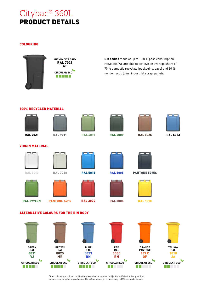# Citybac® 360L PRODUCT DETAILS

### COLOURING



**ANTHRACITE GREY** RAL 7021 AT **CIRCULAR ECO** a da da da

**Bin bodies** made of up to 100 % post-consumption recyclate. We are able to achieve an average share of 70 % domestic recyclate (packaging, caps) and 30 % nondomestic (bins, industrial scrap, pallets)

## 100% RECYCLED MATERIAL











RAL 7021 RAL 7011 RAL 6011 RAL 6009 RAL 8025 RAL 5023

# VIRGIN MATERIAL











RAL 9010 RAL 7038 RAL 5015 RAL 5005 PANTONE 5395C



RAL 3974GN PANTONE 167 C RAL 3000 RAL 3005 RAL 1018

ALTERNATIVE COLOURS FOR THE BIN BODY



Other colours and colour combinations available on request, subject to sufficient order quantities. Colours may vary due to production. The colour values given according to RAL are guide colours.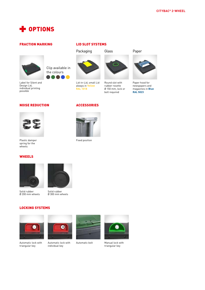

#### FRACTION MARKING



Label for Silent and Design Lid, individual printing possible

#### LID SLOT SYSTEMS

Packaging Glass Paper



Lid-in-Lid, small Lid always in **Yellow RAL 1018**

ACCESSORIES

Fixed position



Round slot with rubber rosette Ø 150 mm, lock or bolt required



Paper hood for newspapers and magazines in **Blue RAL 5023**

# NOISE REDUCTION



Plastic damper spring for the wheels

### **WHEELS**



Solid rubber Ø 200 mm wheels



Clip available in the colours

Ø 300 mm wheels

#### LOCKING SYSTEMS



Automatic lock with triangular key



Automatic lock with individual key





Automatic bolt Manual lock with triangular key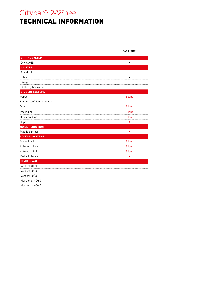# Citybac® 2-Wheel TECHNICAL INFORMATION

|                             | <b>360 LITRE</b> |
|-----------------------------|------------------|
| <b>LIFTING SYSTEM</b>       |                  |
| DIN COMB                    | $\blacksquare$   |
| <b>LID TYPE</b>             |                  |
| Standard                    |                  |
| Silent                      |                  |
| Design                      |                  |
| <b>Butterfly horizontal</b> |                  |
| <b>LID SLOT SYSTEMS</b>     |                  |
| Paper                       | <b>Silent</b>    |
| Slot for confidential paper |                  |
| Glass                       | <b>Silent</b>    |
| Packaging                   | <b>Silent</b>    |
| Household waste             | <b>Silent</b>    |
| Clips                       |                  |
| <b>NOISE REDUCTION</b>      |                  |
| Plastic damper              | ٠                |
| <b>LOCKING SYSTEMS</b>      |                  |
| Manual lock                 | <b>Silent</b>    |
| Automatic lock              | <b>Silent</b>    |
| Automatic bolt              | Silent           |
| Padlock device              | П                |
| <b>DIVIDER WALL</b>         |                  |
| Vertical 40/60              |                  |
| Vertical 50/50              |                  |
| Vertical 60/40              |                  |
| Horizontal 40/60            |                  |
| Horizontal 60/40            |                  |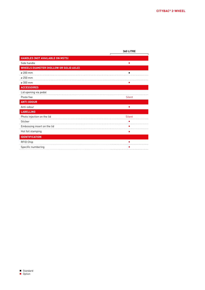|                                               | <b>360 LITRE</b> |
|-----------------------------------------------|------------------|
| HANDLES (NOT AVAILABLE ON MSTS)               |                  |
| Side handle                                   | п                |
| <b>WHEELS DIAMETER (HOLLOW OR SOLID AXLE)</b> |                  |
| ø 200 mm                                      | п                |
| ø 250 mm                                      |                  |
| ø 300 mm                                      |                  |
| <b>ACCESSOIRES</b>                            |                  |
| Lid opening via pedal                         |                  |
| Poste fixe                                    | Silent           |
| <b>ANTI-ODOUR</b>                             |                  |
| Anti-odour                                    | п                |
| <b>LABELLING</b>                              |                  |
| Photo injection on the lid                    | Silent           |
| Sticker                                       |                  |
| Embossing insert on the lid                   |                  |
| Hot foil stamping                             | п                |
| <b>IDENTIFICATION</b>                         |                  |
| RFID Chip                                     |                  |
| Specific numbering                            |                  |